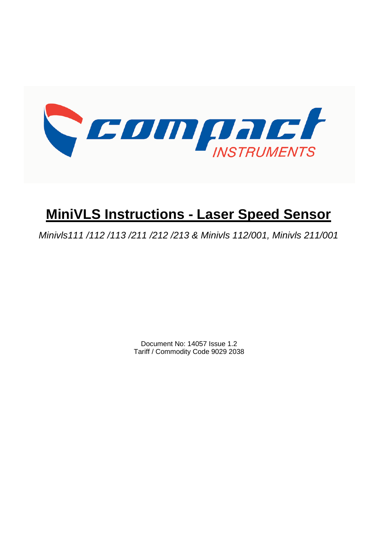

# **MiniVLS Instructions - Laser Speed Sensor**

*Minivls111 /112 /113 /211 /212 /213 & Minivls 112/001, Minivls 211/001*

Document No: 14057 Issue 1.2 Tariff / Commodity Code 9029 2038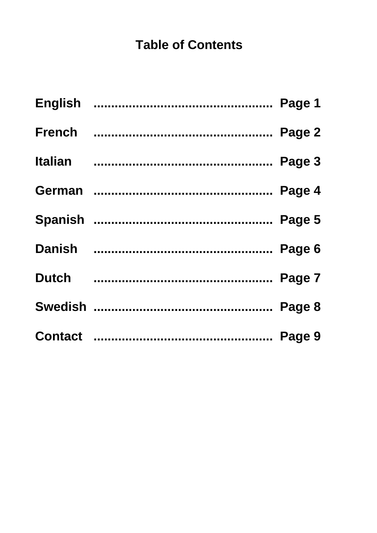# **Table of Contents**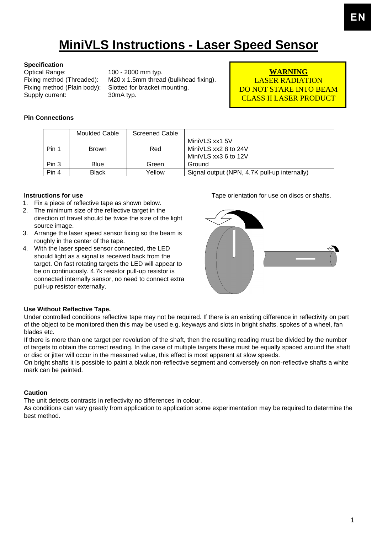# **MiniVLS Instructions - Laser Speed Sensor**

#### **Specification**

Optical Range: 100 - 2000 mm typ.<br>Fixing method (Threaded): M20 x 1.5mm threa Supply current: 30mA typ.

Fixing method (Threaded): M20 x 1.5mm thread (bulkhead fixing).<br>Fixing method (Plain body): Slotted for bracket mounting. Slotted for bracket mounting.

**WARNING** LASER RADIATION DO NOT STARE INTO BEAM CLASS II LASER PRODUCT

### **Pin Connections**

|       | Moulded Cable | Screened Cable |                                                                |
|-------|---------------|----------------|----------------------------------------------------------------|
| Pin 1 | <b>Brown</b>  | Red            | MiniVLS xx1 5V<br>MiniVLS xx2 8 to 24V<br>MiniVLS xx3 6 to 12V |
| Pin 3 | <b>Blue</b>   | Green          | Ground                                                         |
| Pin 4 | Black         | Yellow         | Signal output (NPN, 4.7K pull-up internally)                   |

#### **Instructions for use**

- 1. Fix a piece of reflective tape as shown below.
- 2. The minimum size of the reflective target in the direction of travel should be twice the size of the light source image.
- 3. Arrange the laser speed sensor fixing so the beam is roughly in the center of the tape.
- 4. With the laser speed sensor connected, the LED should light as a signal is received back from the target. On fast rotating targets the LED will appear to be on continuously. 4.7k resistor pull-up resistor is connected internally sensor, no need to connect extra pull-up resistor externally.

Tape orientation for use on discs or shafts.



### **Use Without Reflective Tape.**

Under controlled conditions reflective tape may not be required. If there is an existing difference in reflectivity on part of the object to be monitored then this may be used e.g. keyways and slots in bright shafts, spokes of a wheel, fan blades etc.

If there is more than one target per revolution of the shaft, then the resulting reading must be divided by the number of targets to obtain the correct reading. In the case of multiple targets these must be equally spaced around the shaft or disc or jitter will occur in the measured value, this effect is most apparent at slow speeds.

On bright shafts it is possible to paint a black non-reflective segment and conversely on non-reflective shafts a white mark can be painted.

### **Caution**

The unit detects contrasts in reflectivity no differences in colour.

As conditions can vary greatly from application to application some experimentation may be required to determine the best method.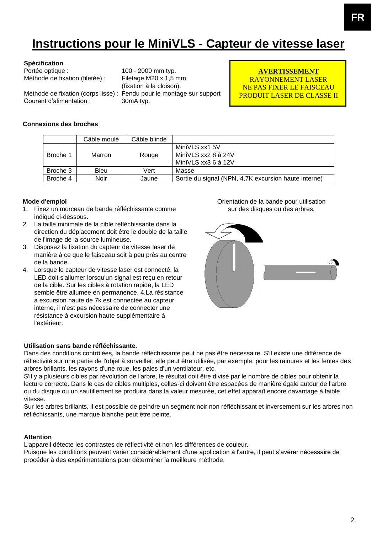## **Instructions pour le MiniVLS - Capteur de vitesse laser**

| Spécification                   |                                                                       |
|---------------------------------|-----------------------------------------------------------------------|
| Portée optique :                | 100 - 2000 mm typ.                                                    |
| Méthode de fixation (filetée) : | Filetage M20 x 1,5 mm                                                 |
|                                 | (fixation à la cloison).                                              |
|                                 | Méthode de fixation (corps lisse) : Fendu pour le montage sur support |
| Courant d'alimentation :        | 30mA typ.                                                             |

**AVERTISSEMENT** RAYONNEMENT LASER NE PAS FIXER LE FAISCEAU PRODUIT LASER DE CLASSE II

### **Connexions des broches**

|          | Câble moulé | Câble blindé |                                                      |
|----------|-------------|--------------|------------------------------------------------------|
|          |             |              | MiniVLS xx1 5V                                       |
| Broche 1 | Marron      | Rouge        | MiniVLS xx2 8 à 24V                                  |
|          |             |              | MiniVLS xx3 6 à 12V                                  |
| Broche 3 | <b>Bleu</b> | Vert         | Masse                                                |
| Broche 4 | Noir        | Jaune        | Sortie du signal (NPN, 4,7K excursion haute interne) |

#### **Mode d'emploi**

- 1. Fixez un morceau de bande réfléchissante comme indiqué ci-dessous.
- 2. La taille minimale de la cible réfléchissante dans la direction du déplacement doit être le double de la taille de l'image de la source lumineuse.
- 3. Disposez la fixation du capteur de vitesse laser de manière à ce que le faisceau soit à peu près au centre de la bande.
- 4. Lorsque le capteur de vitesse laser est connecté, la LED doit s'allumer lorsqu'un signal est reçu en retour de la cible. Sur les cibles à rotation rapide, la LED semble être allumée en permanence. 4.La résistance à excursion haute de 7k est connectée au capteur interne, il n'est pas nécessaire de connecter une résistance à excursion haute supplémentaire à l'extérieur.

Orientation de la bande pour utilisation sur des disques ou des arbres.



#### **Utilisation sans bande réfléchissante.**

Dans des conditions contrôlées, la bande réfléchissante peut ne pas être nécessaire. S'il existe une différence de réflectivité sur une partie de l'objet à surveiller, elle peut être utilisée, par exemple, pour les rainures et les fentes des arbres brillants, les rayons d'une roue, les pales d'un ventilateur, etc.

S'il y a plusieurs cibles par révolution de l'arbre, le résultat doit être divisé par le nombre de cibles pour obtenir la lecture correcte. Dans le cas de cibles multiples, celles-ci doivent être espacées de manière égale autour de l'arbre ou du disque ou un sautillement se produira dans la valeur mesurée, cet effet apparaît encore davantage à faible vitesse.

Sur les arbres brillants, il est possible de peindre un segment noir non réfléchissant et inversement sur les arbres non réfléchissants, une marque blanche peut être peinte.

#### **Attention**

L'appareil détecte les contrastes de réflectivité et non les différences de couleur.

Puisque les conditions peuvent varier considérablement d'une application à l'autre, il peut s'avérer nécessaire de procéder à des expérimentations pour déterminer la meilleure méthode.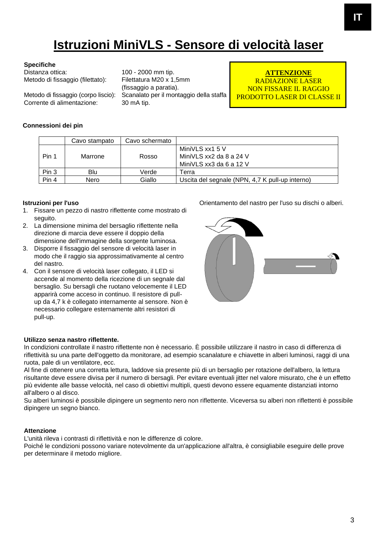# **Istruzioni MiniVLS - Sensore di velocità laser**

#### **Specifiche**

Distanza ottica: 100 - 2000 mm tip. Metodo di fissaggio (filettato): Filettatura M20 x 1,5mm

Corrente di alimentazione: 30 mA tip.

(fissaggio a paratia). Metodo di fissaggio (corpo liscio): Scanalato per il montaggio della staffa

**ATTENZIONE** RADIAZIONE LASER NON FISSARE IL RAGGIO PRODOTTO LASER DI CLASSE II

### **Connessioni dei pin**

|       | Cavo stampato | Cavo schermato |                                                                       |
|-------|---------------|----------------|-----------------------------------------------------------------------|
| Pin 1 | Marrone       | Rosso          | MiniVLS xx1 5 V<br>MiniVLS xx2 da 8 a 24 V<br>MiniVLS xx3 da 6 a 12 V |
| Pin 3 | Blu           | Verde          | Ferra                                                                 |
| Pin 4 | Nero          | Giallo         | Uscita del segnale (NPN, 4,7 K pull-up interno)                       |

### **Istruzioni per l'uso**

- 1. Fissare un pezzo di nastro riflettente come mostrato di seguito.
- 2. La dimensione minima del bersaglio riflettente nella direzione di marcia deve essere il doppio della dimensione dell'immagine della sorgente luminosa.
- 3. Disporre il fissaggio del sensore di velocità laser in modo che il raggio sia approssimativamente al centro del nastro.
- 4. Con il sensore di velocità laser collegato, il LED si accende al momento della ricezione di un segnale dal bersaglio. Su bersagli che ruotano velocemente il LED apparirà come acceso in continuo. Il resistore di pullup da 4,7 k è collegato internamente al sensore. Non è necessario collegare esternamente altri resistori di pull-up.



Orientamento del nastro per l'uso su dischi o alberi.

### **Utilizzo senza nastro riflettente.**

In condizioni controllate il nastro riflettente non è necessario. È possibile utilizzare il nastro in caso di differenza di riflettività su una parte dell'oggetto da monitorare, ad esempio scanalature e chiavette in alberi luminosi, raggi di una ruota, pale di un ventilatore, ecc.

Al fine di ottenere una corretta lettura, laddove sia presente più di un bersaglio per rotazione dell'albero, la lettura risultante deve essere divisa per il numero di bersagli. Per evitare eventuali jitter nel valore misurato, che è un effetto più evidente alle basse velocità, nel caso di obiettivi multipli, questi devono essere equamente distanziati intorno all'albero o al disco.

Su alberi luminosi è possibile dipingere un segmento nero non riflettente. Viceversa su alberi non riflettenti è possibile dipingere un segno bianco.

### **Attenzione**

L'unità rileva i contrasti di riflettività e non le differenze di colore.

Poiché le condizioni possono variare notevolmente da un'applicazione all'altra, è consigliabile eseguire delle prove per determinare il metodo migliore.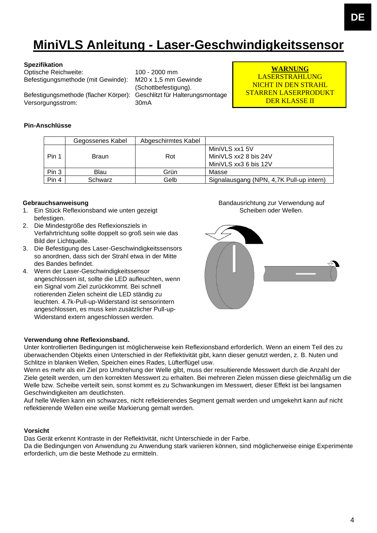# **MiniVLS Anleitung - Laser-Geschwindigkeitssensor**

#### **Spezifikation**

Optische Reichweite: 100 - 2000 mm Befestigungsmethode (mit Gewinde): M20 x 1,5 mm Gewinde

Befestigungsmethode (flacher Körper): Versorgungsstrom: 30mA

(Schottbefestigung).<br>Geschlitzt für Halterungsmontage

**WARNUNG** LASERSTRAHLUNG NICHT IN DEN STRAHL STARREN LASERPRODUKT DER KLASSE II

### **Pin-Anschlüsse**

|       | Gegossenes Kabel | Abgeschirmtes Kabel |                                                                  |
|-------|------------------|---------------------|------------------------------------------------------------------|
| Pin 1 | <b>Braun</b>     | Rot                 | MiniVLS xx1 5V<br>MiniVLS xx2 8 bis 24V<br>MiniVLS xx3 6 bis 12V |
| Pin 3 | Blau             | Grün                | Masse                                                            |
| Pin 4 | Schwarz          | Gelb                | Signalausgang (NPN, 4,7K Pull-up intern)                         |

### **Gebrauchsanweisung**

- 1. Ein Stück Reflexionsband wie unten gezeigt befestigen.
- 2. Die Mindestgröße des Reflexionsziels in Verfahrtrichtung sollte doppelt so groß sein wie das Bild der Lichtquelle.
- 3. Die Befestigung des Laser-Geschwindigkeitssensors so anordnen, dass sich der Strahl etwa in der Mitte des Bandes befindet.
- 4. Wenn der Laser-Geschwindigkeitssensor angeschlossen ist, sollte die LED aufleuchten, wenn ein Signal vom Ziel zurückkommt. Bei schnell rotierenden Zielen scheint die LED ständig zu leuchten. 4.7k-Pull-up-Widerstand ist sensorintern angeschlossen, es muss kein zusätzlicher Pull-up-Widerstand extern angeschlossen werden.

Bandausrichtung zur Verwendung auf Scheiben oder Wellen.



### **Verwendung ohne Reflexionsband.**

Unter kontrollierten Bedingungen ist möglicherweise kein Reflexionsband erforderlich. Wenn an einem Teil des zu überwachenden Objekts einen Unterschied in der Reflektivität gibt, kann dieser genutzt werden, z. B. Nuten und Schlitze in blanken Wellen, Speichen eines Rades, Lüfterflügel usw.

Wenn es mehr als ein Ziel pro Umdrehung der Welle gibt, muss der resultierende Messwert durch die Anzahl der Ziele geteilt werden, um den korrekten Messwert zu erhalten. Bei mehreren Zielen müssen diese gleichmäßig um die Welle bzw. Scheibe verteilt sein, sonst kommt es zu Schwankungen im Messwert, dieser Effekt ist bei langsamen Geschwindigkeiten am deutlichsten.

Auf helle Wellen kann ein schwarzes, nicht reflektierendes Segment gemalt werden und umgekehrt kann auf nicht reflektierende Wellen eine weiße Markierung gemalt werden.

### **Vorsicht**

Das Gerät erkennt Kontraste in der Reflektivität, nicht Unterschiede in der Farbe.

Da die Bedingungen von Anwendung zu Anwendung stark variieren können, sind möglicherweise einige Experimente erforderlich, um die beste Methode zu ermitteln.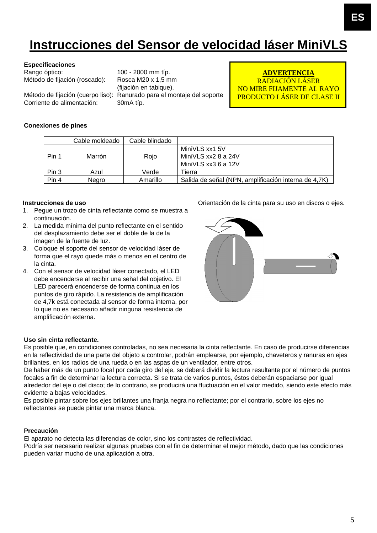# **Instrucciones del Sensor de velocidad láser MiniVLS**

#### **Especificaciones**

Rango óptico: 100 - 2000 mm típ. Método de fijación (roscado): Rosca M20 x 1,5 mm

Corriente de alimentación: 30mA típ.

(fijación en tabique). Método de fijación (cuerpo liso): Ranurado para el montaje del soporte

**ADVERTENCIA** RADIACIÓN LÁSER NO MIRE FIJAMENTE AL RAYO PRODUCTO LÁSER DE CLASE II

### **Conexiones de pines**

|       | Cable moldeado | Cable blindado |                                                              |
|-------|----------------|----------------|--------------------------------------------------------------|
| Pin 1 | Marrón         | Roio           | MiniVLS xx1 5V<br>MiniVLS xx2 8 a 24V<br>MiniVLS xx3 6 a 12V |
| Pin 3 | Azul           | Verde          | Tierra                                                       |
| Pin 4 | Negro          | Amarillo       | Salida de señal (NPN, amplificación interna de 4,7K)         |

### **Instrucciones de uso**

- 1. Pegue un trozo de cinta reflectante como se muestra a continuación.
- 2. La medida mínima del punto reflectante en el sentido del desplazamiento debe ser el doble de la de la imagen de la fuente de luz.
- 3. Coloque el soporte del sensor de velocidad láser de forma que el rayo quede más o menos en el centro de la cinta.
- 4. Con el sensor de velocidad láser conectado, el LED debe encenderse al recibir una señal del objetivo. El LED parecerá encenderse de forma continua en los puntos de giro rápido. La resistencia de amplificación de 4,7k está conectada al sensor de forma interna, por lo que no es necesario añadir ninguna resistencia de amplificación externa.



Orientación de la cinta para su uso en discos o ejes.

#### **Uso sin cinta reflectante.**

Es posible que, en condiciones controladas, no sea necesaria la cinta reflectante. En caso de producirse diferencias en la reflectividad de una parte del objeto a controlar, podrán emplearse, por ejemplo, chaveteros y ranuras en ejes brillantes, en los radios de una rueda o en las aspas de un ventilador, entre otros.

De haber más de un punto focal por cada giro del eje, se deberá dividir la lectura resultante por el número de puntos focales a fin de determinar la lectura correcta. Si se trata de varios puntos, éstos deberán espaciarse por igual alrededor del eje o del disco; de lo contrario, se producirá una fluctuación en el valor medido, siendo este efecto más evidente a bajas velocidades.

Es posible pintar sobre los ejes brillantes una franja negra no reflectante; por el contrario, sobre los ejes no reflectantes se puede pintar una marca blanca.

#### **Precaución**

El aparato no detecta las diferencias de color, sino los contrastes de reflectividad.

Podría ser necesario realizar algunas pruebas con el fin de determinar el mejor método, dado que las condiciones pueden variar mucho de una aplicación a otra.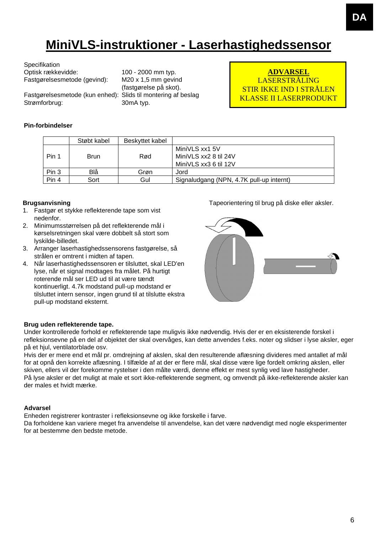# **MiniVLS-instruktioner - Laserhastighedssensor**

| Specifikation                |                 |
|------------------------------|-----------------|
| Optisk rækkevidde:           | 10 <sub>0</sub> |
| Fastgørelsesmetode (gevind): | M2              |
|                              |                 |

Fastgørelsesmetode (kun enhed): Slids til montering af beslag Strømforbrug: 30mA typ.

0 - 2000 mm typ.  $20 \times 1,5$  mm gevind (fastgørelse på skot).

**ADVARSEL** LASERSTRÅLING STIR IKKE IND I STRÅLEN KLASSE II LASERPRODUKT

### **Pin-forbindelser**

|       | Støbt kabel | Beskyttet kabel |                                          |
|-------|-------------|-----------------|------------------------------------------|
|       |             |                 | MiniVLS xx1 5V                           |
| Pin 1 | Brun        | Rød             | MiniVLS xx2 8 til 24V                    |
|       |             |                 | MiniVLS xx3 6 til 12V                    |
| Pin 3 | Blå         | Grøn            | Jord                                     |
| Pin 4 | Sort        | Gul             | Signaludgang (NPN, 4.7K pull-up internt) |

### **Brugsanvisning**

- 1. Fastgør et stykke reflekterende tape som vist nedenfor.
- 2. Minimumsstørrelsen på det reflekterende mål i kørselsretningen skal være dobbelt så stort som lyskilde-billedet.
- 3. Arranger laserhastighedssensorens fastgørelse, så strålen er omtrent i midten af tapen.
- 4. Når laserhastighedssensoren er tilsluttet, skal LED'en lyse, når et signal modtages fra målet. På hurtigt roterende mål ser LED ud til at være tændt kontinuerligt. 4.7k modstand pull-up modstand er tilsluttet intern sensor, ingen grund til at tilslutte ekstra pull-up modstand eksternt.

Tapeorientering til brug på diske eller aksler.



### **Brug uden reflekterende tape.**

Under kontrollerede forhold er reflekterende tape muligvis ikke nødvendig. Hvis der er en eksisterende forskel i refleksionsevne på en del af objektet der skal overvåges, kan dette anvendes f.eks. noter og slidser i lyse aksler, eger på et hjul, ventilatorblade osv.

Hvis der er mere end et mål pr. omdrejning af akslen, skal den resulterende aflæsning divideres med antallet af mål for at opnå den korrekte aflæsning. I tilfælde af at der er flere mål, skal disse være lige fordelt omkring akslen, eller skiven, ellers vil der forekomme rystelser i den målte værdi, denne effekt er mest synlig ved lave hastigheder. På lyse aksler er det muligt at male et sort ikke-reflekterende segment, og omvendt på ikke-reflekterende aksler kan der males et hvidt mærke.

### **Advarsel**

Enheden registrerer kontraster i refleksionsevne og ikke forskelle i farve.

Da forholdene kan variere meget fra anvendelse til anvendelse, kan det være nødvendigt med nogle eksperimenter for at bestemme den bedste metode.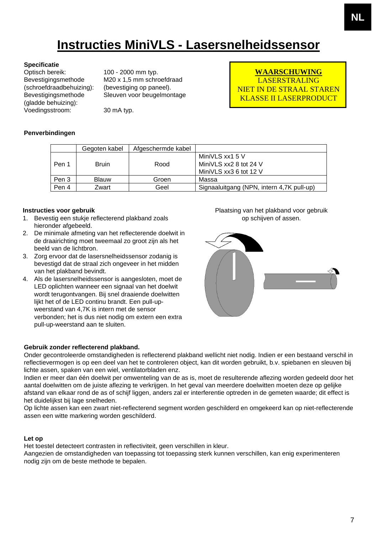# **Instructies MiniVLS - Lasersnelheidssensor**

**Specificatie**<br>Optisch bereik: Bevestigingsmethode (schroefdraadbehuizing): Bevestigingsmethode (gladde behuizing): Voedingsstroom: 30 mA typ.

100 - 2000 mm typ. M20 x 1,5 mm schroefdraad (bevestiging op paneel). Sleuven voor beugelmontage

**WAARSCHUWING** LASERSTRALING NIET IN DE STRAAL STAREN KLASSE II LASERPRODUCT

### **Penverbindingen**

|       | Gegoten kabel | Afgeschermde kabel |                                                                     |
|-------|---------------|--------------------|---------------------------------------------------------------------|
| Pen 1 | <b>Bruin</b>  | Rood               | MiniVLS xx1 5 V<br>MiniVLS xx2 8 tot 24 V<br>MiniVLS xx3 6 tot 12 V |
| Pen 3 | <b>Blauw</b>  | Groen              | Massa                                                               |
| Pen 4 | Zwart         | Geel               | Signaaluitgang (NPN, intern 4,7K pull-up)                           |

### **Instructies voor gebruik**

- 1. Bevestig een stukje reflecterend plakband zoals hieronder afgebeeld.
- 2. De minimale afmeting van het reflecterende doelwit in de draairichting moet tweemaal zo groot zijn als het beeld van de lichtbron.
- 3. Zorg ervoor dat de lasersnelheidssensor zodanig is bevestigd dat de straal zich ongeveer in het midden van het plakband bevindt.
- 4. Als de lasersnelheidssensor is aangesloten, moet de LED oplichten wanneer een signaal van het doelwit wordt terugontvangen. Bij snel draaiende doelwitten lijkt het of de LED continu brandt. Een pull-upweerstand van 4,7K is intern met de sensor verbonden; het is dus niet nodig om extern een extra pull-up-weerstand aan te sluiten.

### Plaatsing van het plakband voor gebruik op schijven of assen.



### **Gebruik zonder reflecterend plakband.**

Onder gecontroleerde omstandigheden is reflecterend plakband wellicht niet nodig. Indien er een bestaand verschil in reflectievermogen is op een deel van het te controleren object, kan dit worden gebruikt, b.v. spiebanen en sleuven bij lichte assen, spaken van een wiel, ventilatorbladen enz.

Indien er meer dan één doelwit per omwenteling van de as is, moet de resulterende aflezing worden gedeeld door het aantal doelwitten om de juiste aflezing te verkrijgen. In het geval van meerdere doelwitten moeten deze op gelijke afstand van elkaar rond de as of schijf liggen, anders zal er interferentie optreden in de gemeten waarde; dit effect is het duidelijkst bij lage snelheden.

Op lichte assen kan een zwart niet-reflecterend segment worden geschilderd en omgekeerd kan op niet-reflecterende assen een witte markering worden geschilderd.

### **Let op**

Het toestel detecteert contrasten in reflectiviteit, geen verschillen in kleur.

Aangezien de omstandigheden van toepassing tot toepassing sterk kunnen verschillen, kan enig experimenteren nodig zijn om de beste methode te bepalen.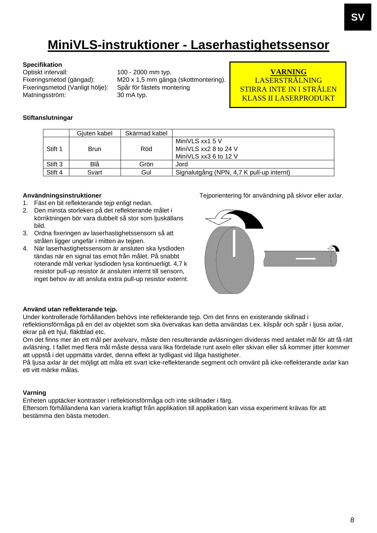# **MiniVLS-instruktioner - Laserhastighetssensor**

# **Specifikation**<br>Optiskt intervall:

Optiskt intervall: 100 - 2000 mm typ.<br>Fixeringsmetod (gängad): M20 x 1,5 mm gäng Fixeringsmetod (Vanligt hölje): Matningsström: 30 mA typ.

M20 x 1,5 mm gänga (skottmontering).<br>Spår för fästets montering

### **VARNING** LASERSTRÅLNING STIRRA INTE IN I STRÅLEN KLASS II LASERPRODUKT

### **Stiftanslutningar**

|         | Gjuten kabel | Skärmad kabel |                                           |
|---------|--------------|---------------|-------------------------------------------|
| Stift 1 | <b>Brun</b>  | Röd           | MiniVLS xx1 5 V<br>MiniVLS xx2 8 to 24 V  |
|         |              |               | MiniVLS xx3 6 to 12 V                     |
| Stift 3 | Blå          | Grön          | Jord                                      |
| Stift 4 | Svart        | Gul           | Signalutgång (NPN, 4,7 K pull-up internt) |

### **Användningsinstruktioner**

- 1. Fäst en bit reflekterande tejp enligt nedan.
- 2. Den minsta storleken på det reflekterande målet i körriktningen bör vara dubbelt så stor som ljuskällans bild.
- 3. Ordna fixeringen av laserhastighetssensorn så att strålen ligger ungefär i mitten av tejpen.
- 4. När laserhastighetssensorn är ansluten ska lysdioden tändas när en signal tas emot från målet. På snabbt roterande mål verkar lysdioden lysa kontinuerligt. 4,7 k resistor pull-up resistor är ansluten internt till sensorn, inget behov av att ansluta extra pull-up resistor externt.

Tejporientering för användning på skivor eller axlar.



#### **Använd utan reflekterande tejp.**

Under kontrollerade förhållanden behövs inte reflekterande tejp. Om det finns en existerande skillnad i reflektionsförmåga på en del av objektet som ska övervakas kan detta användas t.ex. kilspår och spår i ljusa axlar, ekrar på ett hjul, fläktblad etc.

Om det finns mer än ett mål per axelvarv, måste den resulterande avläsningen divideras med antalet mål för att få rätt avläsning. I fallet med flera mål måste dessa vara lika fördelade runt axeln eller skivan eller så kommer jitter kommer att uppstå i det uppmätta värdet, denna effekt är tydligast vid låga hastigheter.

På ljusa axlar är det möjligt att måla ett svart icke-reflekterande segment och omvänt på icke-reflekterande axlar kan ett vitt märke målas.

### **Varning**

Enheten upptäcker kontraster i reflektionsförmåga och inte skillnader i färg.

Eftersom förhållandena kan variera kraftigt från applikation till applikation kan vissa experiment krävas för att bestämma den bästa metoden.